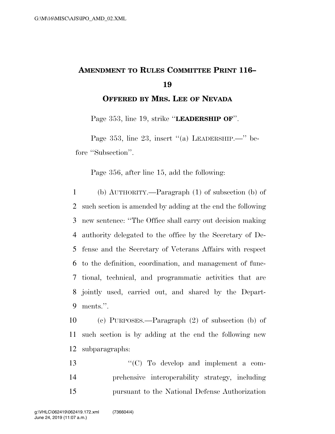## **AMENDMENT TO RULES COMMITTEE PRINT 116– 19**

**OFFERED BY MRS. LEE OF NEVADA**

Page 353, line 19, strike ''**LEADERSHIP OF**''.

Page 353, line 23, insert "(a) LEADERSHIP.—" before ''Subsection''.

Page 356, after line 15, add the following:

 (b) AUTHORITY.—Paragraph (1) of subsection (b) of such section is amended by adding at the end the following new sentence: ''The Office shall carry out decision making authority delegated to the office by the Secretary of De- fense and the Secretary of Veterans Affairs with respect to the definition, coordination, and management of func- tional, technical, and programmatic activities that are jointly used, carried out, and shared by the Depart-ments.''.

10 (c) PURPOSES.—Paragraph (2) of subsection (b) of 11 such section is by adding at the end the following new 12 subparagraphs:

13  $\cdot$  (C) To develop and implement a com-14 prehensive interoperability strategy, including 15 pursuant to the National Defense Authorization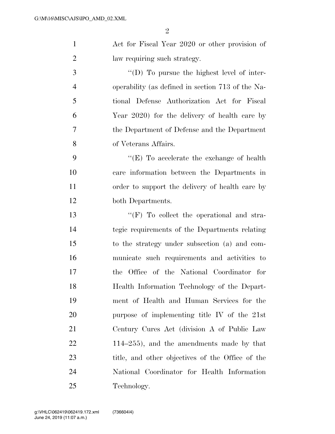| $\mathbf{1}$   | Act for Fiscal Year 2020 or other provision of    |
|----------------|---------------------------------------------------|
| $\overline{2}$ | law requiring such strategy.                      |
| 3              | "(D) To pursue the highest level of inter-        |
| $\overline{4}$ | operability (as defined in section 713 of the Na- |
| 5              | tional Defense Authorization Act for Fiscal       |
| 6              | Year 2020) for the delivery of health care by     |
| 7              | the Department of Defense and the Department      |
| 8              | of Veterans Affairs.                              |
| 9              | "(E) To accelerate the exchange of health         |
| 10             | care information between the Departments in       |
| 11             | order to support the delivery of health care by   |
| 12             | both Departments.                                 |
| 13             | $\lq\lq(F)$ To collect the operational and stra-  |
| 14             | tegic requirements of the Departments relating    |
| 15             | to the strategy under subsection (a) and com-     |
| 16             | municate such requirements and activities to      |
| 17             | Office of the National Coordinator for<br>the     |
| 18             | Health Information Technology of the Depart-      |
| 19             | ment of Health and Human Services for the         |
| 20             | purpose of implementing title IV of the 21st      |
| 21             | Century Cures Act (division A of Public Law       |
| 22             | $114-255$ , and the amendments made by that       |
| 23             | title, and other objectives of the Office of the  |
| 24             | National Coordinator for Health Information       |
| 25             | Technology.                                       |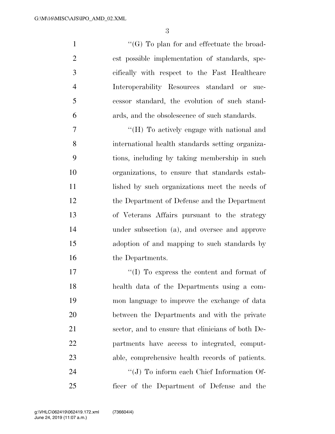$\lq(0)$  To plan for and effectuate the broad- est possible implementation of standards, spe- cifically with respect to the Fast Healthcare Interoperability Resources standard or suc- cessor standard, the evolution of such stand-ards, and the obsolescence of such standards.

 $\cdot$  "(H) To actively engage with national and international health standards setting organiza- tions, including by taking membership in such organizations, to ensure that standards estab-11 lished by such organizations meet the needs of the Department of Defense and the Department of Veterans Affairs pursuant to the strategy under subsection (a), and oversee and approve adoption of and mapping to such standards by 16 the Departments.

 $\langle (I) \rangle$  To express the content and format of health data of the Departments using a com- mon language to improve the exchange of data between the Departments and with the private sector, and to ensure that clinicians of both De- partments have access to integrated, comput- able, comprehensive health records of patients.  $\cdot$  (J) To inform each Chief Information Of-

ficer of the Department of Defense and the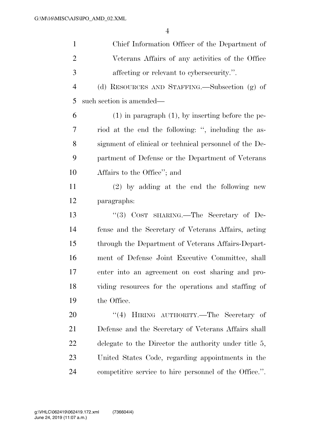| $\mathbf{1}$   | Chief Information Officer of the Department of         |
|----------------|--------------------------------------------------------|
| $\overline{2}$ | Veterans Affairs of any activities of the Office       |
| 3              | affecting or relevant to cybersecurity.".              |
| $\overline{4}$ | (d) RESOURCES AND STAFFING.—Subsection (g) of          |
| 5              | such section is amended—                               |
| 6              | $(1)$ in paragraph $(1)$ , by inserting before the pe- |
| 7              | riod at the end the following: ", including the as-    |
| 8              | signment of clinical or technical personnel of the De- |
| 9              | partment of Defense or the Department of Veterans      |
| 10             | Affairs to the Office"; and                            |
| 11             | $(2)$ by adding at the end the following new           |
| 12             | paragraphs:                                            |
| 13             | "(3) COST SHARING.—The Secretary of De-                |
| 14             | fense and the Secretary of Veterans Affairs, acting    |
| 15             | through the Department of Veterans Affairs-Depart-     |
| 16             | ment of Defense Joint Executive Committee, shall       |
| 17             | enter into an agreement on cost sharing and pro-       |
| 18             | viding resources for the operations and staffing of    |
| 19             | the Office.                                            |
| 20             | "(4) HIRING AUTHORITY.—The Secretary of                |
| 21             | Defense and the Secretary of Veterans Affairs shall    |
| 22             | delegate to the Director the authority under title 5,  |
| 23             | United States Code, regarding appointments in the      |
| 24             | competitive service to hire personnel of the Office.". |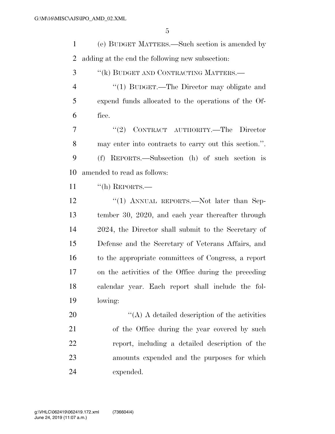(e) BUDGET MATTERS.—Such section is amended by adding at the end the following new subsection: ''(k) BUDGET AND CONTRACTING MATTERS.— 4 "(1) BUDGET.—The Director may obligate and expend funds allocated to the operations of the Of- fice. ''(2) CONTRACT AUTHORITY.—The Director may enter into contracts to carry out this section.''. (f) REPORTS.—Subsection (h) of such section is amended to read as follows:  $\text{``(h)}$  REPORTS.— 12 "(1) ANNUAL REPORTS.—Not later than Sep- tember 30, 2020, and each year thereafter through 2024, the Director shall submit to the Secretary of Defense and the Secretary of Veterans Affairs, and to the appropriate committees of Congress, a report on the activities of the Office during the preceding calendar year. Each report shall include the fol- lowing:  $\langle (A) \rangle$  A detailed description of the activities of the Office during the year covered by such report, including a detailed description of the amounts expended and the purposes for which expended.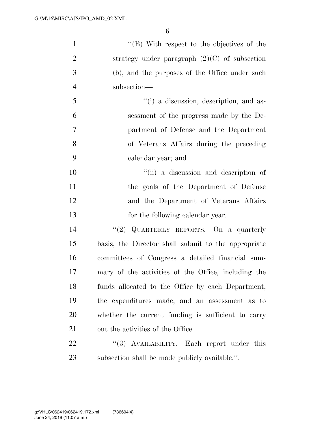| $\mathbf{1}$   | $\lq\lq (B)$ With respect to the objectives of the  |
|----------------|-----------------------------------------------------|
| $\overline{2}$ | strategy under paragraph $(2)(C)$ of subsection     |
| 3              | (b), and the purposes of the Office under such      |
| $\overline{4}$ | subsection-                                         |
| 5              | "(i) a discussion, description, and as-             |
| 6              | sessment of the progress made by the De-            |
| 7              | partment of Defense and the Department              |
| 8              | of Veterans Affairs during the preceding            |
| 9              | calendar year; and                                  |
| 10             | "(ii) a discussion and description of               |
| 11             | the goals of the Department of Defense              |
| 12             | and the Department of Veterans Affairs              |
| 13             | for the following calendar year.                    |
| 14             | "(2) QUARTERLY REPORTS. On a quarterly              |
| 15             | basis, the Director shall submit to the appropriate |
| 16             | committees of Congress a detailed financial sum-    |
| 17             | mary of the activities of the Office, including the |
| 18             | funds allocated to the Office by each Department,   |
| 19             | the expenditures made, and an assessment as to      |
| 20             | whether the current funding is sufficient to carry  |
| 21             | out the activities of the Office.                   |
| 22             | "(3) AVAILABILITY.—Each report under this           |
| 23             | subsection shall be made publicly available.".      |